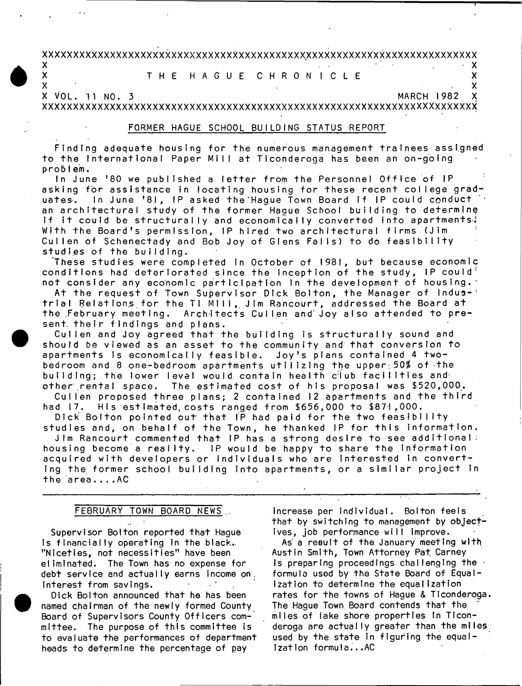**xxxxxxxxxxxxxxxxxxxxxxxxxxxxxxxxxxxxxxxxxxxxxxxxxxxxxxxxxxxxxxxxxxxxxxx X . - X**

**X T H E H A G U E C H R O N I C L E X**

**X VOL. n NO. 3 MARCH 1982 X**

**X X**

**xxxxxxxxxxxxxxxxxxxxxxxxxxxxxxxxxxxxxxxxxxxxxxxxxxxxxxxxxxxxxxxxxxxxxxx**

# **FORMER HAGUE SCHOOL BUI LDI NG STATUS REPORT**

Finding adequate housing for the numerous management trainees assigned to the International Paper Mill at Ticonderoga has been an on-going **p r o b i e m.**

In June '80 we published a letter from the Personnel Office of IP asking for assistance in locating housing for these recent college graduates. In June '81, IP asked the Hague Town Board if IP could conduct an architectural study of the former Hague School building to determine If It could be structurally and economically converted into apartments! With the Board's permission, IP hired two architectural firms (Jim Cullen of Schenectady and Bob Joy of Glens Falls) to do feasibility studies of the building.

**These s t u d i e s were completed In October of 1981, but because economic** conditions had deteriorated since the inception of the study, IP could<sup>:</sup> not consider any economic participation in the development of housing.

At the request of Town Supervisor Dick Bolton, the Manager of Industrial Relations for the Ti Mill, Jim Rancourt, addressed the Board at the February meeting. Architects Cullen and Joy also attended to present. their findings and plans.

Cullen and Joy agreed that the building is structurally sound and should be viewed as an asset to the community and that conversion to apartments is economically feasible. Joy's plans contained 4 twobedroom and 8 one-bedroom apartments utilizing the upper: 50% of the building; the lower level would contain health club facilities and other rental space. The estimated cost of his proposal was \$520,000.

Cullen proposed three plans; 2 contained 12 apartments and the third had 17. His estimated, costs ranged from \$656,000 to \$871,000.

Dick Bolton pointed out that IP had paid for the two feasibility studies and, on behalf of the Town, he thanked IP for this information. Jim Rancourt commented that IP has a strong desire to see additional:

housing become a reality. IP would be happy to share the information acquired with developers or individuals who are interested in convert**ing the former school building into apartments, or a similar project in t h e a r e a . . . . AC**

# **FEBRUARY TOWN BOARD NEWS ..**

**Supervisor Bolton reported that Hague is financially operating In the black., ''N ic e t ie s , not n e cessities" have been** eliminated. The Town has no expense for **debt service and actually earns income on.** Interest from savings.

Dick Bolton announced that he has been **named chairman of the newly formed County** Board of Supervisors County Officers committee. The purpose of this committee is **to evaluate the performances of department heads to determine the percentage of pay**

**increase per individual. Bolton feels** that by switching to management by object**ives, job performance will improve.**

As a result of the January meeting with **Austin Smith, Town Attorney Pat. Carney is preparing proceedings challenging the ■** formula used by the State Board of Equal**ization to determine the equalization** rates for the towns of Haque & Ticonderoga. The Hague Town Board contends that the **miles of lake shore properties In Ticonderoga are actually greater than the miles** used by the state in figuring the equal**ization formula...AC**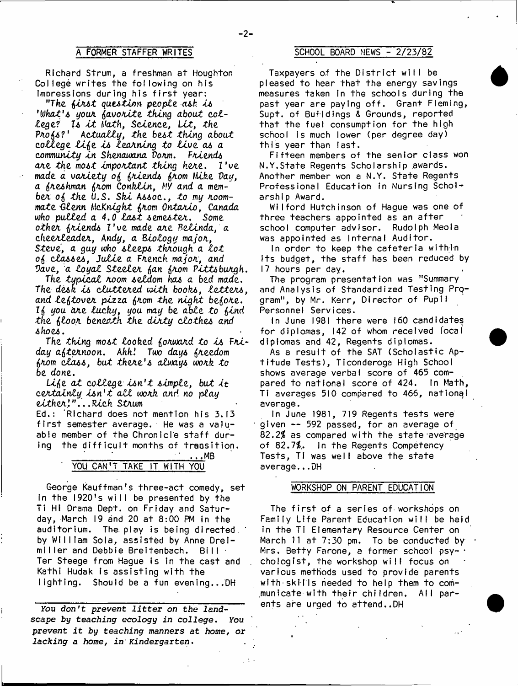### $-2-$

**Richard Strum, a freshman at Houghton** College writes the following on his **ImDressions during his first year:**

*''The forst question people, ask Is 'What\*s your fovorite thing about college? Is i t Math, Science,* **Let,** *the Profo?' Actually, the best thing about college l i f o is learning to liv e as a community in Shenawana Vorm.* **F***niends ojie the most important thing here. I 've made a variety* **0(5** *friends foom Hike Day,* a freshman from Conklin,  $\mu$ *y* and a mem*ber 0* **{5** *the U.S. Ski Assoc., to my roommate -Glenn McKnight foom Ontario, Canada who pulled a 4.0 la s t semester. Some other friends* **I'u e** *made are Pelinda, a cheerleader, Andy, a Biology major,* Steve, a guy who sleeps through a lot **0(5** *classes, Julie a French major, and Vave, a loyal Steeler* **(j***an* **(j***rom Pittsburgh*

*The typical room seldom has a bed made. The desk is cluttered with books, letters and leftover pizza foom the night before.* **I(j** *you are lucky, you may be able to fond the* **(5***loor beneath the d irty clothes and shoes.*

*The thing most looked forward to is Ftti<* day afternoon. Ahh! Two days freedom *&rom class, but there's always work to be done.*

Life at college *isn't simple, but it certainly is n 't a l l work and no play eith er' ". . . Pick* **Strum**

**Ed.: Richard does not mention his 3.13** first semester average. He was a valuable member of the Chronicle staff during the difficult months of transition.

# **' \_\_\_\_\_\_\_\_\_\_\_\_\_\_' . . . M B ' YOU CAN\*T TAKE IT WITH YOU**

George Kauffman's three-act comedy, set In the 1920's will be presented by the Ti HI Drama Dept, on Friday and Saturday, March 19 and 20 at 8:00 PM in the **auditorium . The. play is being directed,** by William Sola, assisted by Anne Drei**m i l l e r and Debbie Breitenbach. Bill ' Ter Steege from Hague is in the cast and** Kathi Hudak is assisting with the lighting. Should be a fun evening...DH

**you** *don't prevent litter on the landscape by teaching* **eoologry** *in college. You prevent it by teaching manners at home, or lacking a home***,** *in' Kindergarten.*

# **A FORMER STAFFER WRITES SCHOOL BOARD NEWS - 2 /2 3 /8 2**

Taxpayers of the District will be **pleased to hear that the energy savings measures taken in the schools during the past year are paying off. Grant Fleming, Supt. of Buildings & Grounds, reported** that the fuel consumption for the high **school is much lower (per degree day) this year than last.**

Fifteen members of the senior class won **N.Y,State Regents Scholarship awards. Another member won a N.Y. State Regents Professional Education in Nursing Scholl arship Award,**

Wilford Hutchinson of Hague was one of three teachers appointed as an after **school computer advisor. Rudolph Meola** was appointed as Internal Auditor.

In order to keep the cafeteria within **its budget, the staff has been reduced by 17 hours per day.**

**The program presentation was "Summary and Analysis of Standardized Testing Pro**gram", by Mr. Kerr, Director of Pupill **Personnel Services.**

In June 1981 there were 160 candidates for diplomas, 142 of whom received local **diplomas and 42, Regents diplomas.**

As a result of the SAT (Scholastic Ap**titude Tests), Ticonderoga High School shows average verbal score of 465 com**pared to national score of 424. In Math, **Ti averages 510 compared to 466, national average.**

In June 1981, 719 Regents tests were **given -- 592 passed, for an average of 82,***2%* **as compared with the state average of 82.71. in the Regents Competency Tests, TI was well above the state average...DH**

### **WORKSHOP ON PARENT EDUCATION**

The first of a series of workshops on **Family Life Parent Education will be held in the Ti Elementary Resource Center on** March 11 at 7:30 pm. To be conducted by **Mrs. Betty Farone, a former school psy- • chologlst, the workshop will focus on various methods used to provide parents with'skills heeded to help them to com**municate with their children. All par**ents are urged to attend..DH**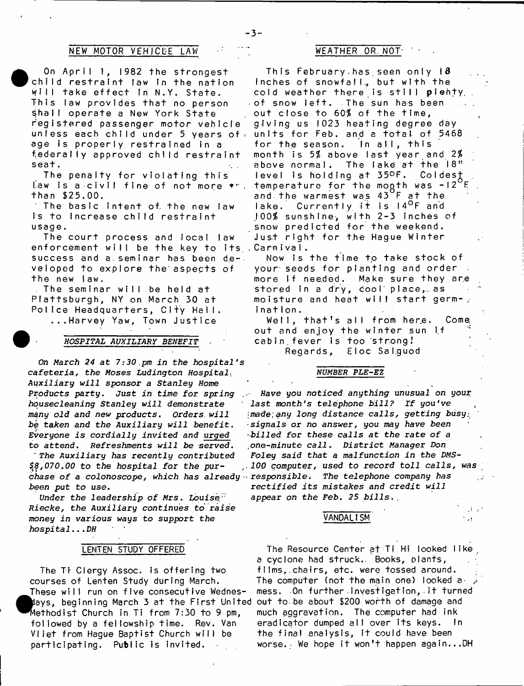### **NEW MOTOR VEHI CLE LAW WEATHER OR. NOT' '**

On April 1, 1982 the strongest child restraint law in the nation **w i l l take e f f e c t In N.Y. S ta te . T h i s law p r o v i d e s t h a t no person** shall operate a New York State **registered passenger m otor vehicle unless each child under 5 years of**  $\cdot$ **age is p ro p e rly r e s t r a i n e d in a federally approved child re stra in t s e a t . .**

The penalty for violating this law is a civil fine of not more **\***". **than \$25.00.**

**The b a s i c i n t e n t of. t h e new law** is to increase child restraint **usage.**

**The c o u r t process and local law** enforcement will be the key to its<sub>.</sub>.Carmival**.** success and a seminar has been de**veloped to explore the'aspects of** the new law.

The seminar will be held at **P l a t t s b u r g h , NY on Ma r c h 30 a t** Police Headquarters, City Hall. **. . . H a r v e y Yaw, Town J u s t i c e**

*HOSPITAL AUXILIARY BENEFIT*

*On March 24 at 7:30.pm in the hospital's cafeteria, the Moses Ludington Hospital*• Auxiliary *will sponsor a Stanley Home Products party.* Just *in time for spring housecleaning Stanley will demonstrate many old and new products. Orders, will* be taken and the Auxiliary will benefit. *Everyone is cordially invited and urged* to attend. Refreshments will be served.

The Auxiliary has recently contributed *\$i8,070.00 to the hospital for the purchase of a colonoscope, which has already* • *responsiblei The telephone company has been put to use.*

*Under the leadership of Mrs. Louise" Riecke, the Auxiliary continues to raise money in various ways to* support *the hospital...DH* '

### **LENTEN STUDY OFFERED**

cou<br>The<br>May<br>Met<br>fol The Ti Clergy Assoc. is offering two **courses of Lenten Study during March.** These will run on five consecutive Wednes**days, beginning March 3 at the First United e th o d is t Church in Ti from 7:30 to 9 pm, followed** by a fellowship time. Rev. Van **Vliet from Hague Baptist Church will be participating. Public is invited.**

**T h i s F e b r u a r y . h a s . seen o n l y 18 inches of snowfall., but with the** cold weather there is still plenty. **of snow l e f t . The sun has been out close to** *60%* **of the time, g i v i n g us 1023 h e a t i n g de gr ee day** units for Feb. and a total of 5468 for the season. In all, this **month is 5\$ above l a s t y ea r and** *2%* **above normal. The lake at the 18" level is holding at 35°F. ColdesJ temperature for the mogth was - 1 2 F and t h e w a r me s t was 43 F a t t h e lake. C u r r e n t l y i t is I4°F and .100% sunshine-, with 2-3 inches of snow predicted for the weekend. Just right for t.he Hague Winter**

Now is the time to take stock of **your-seeds for planting and order** more if needed. Make sure they are stored in a dry, cool place, as moisture and heat will start germ-, **i n a t i o n .**

**Well, t h a t 's a ll from her.e. Come,** out and enjoy the winter sun if **cabin, fever is too st r.ong .' Regards, Eloc Sal.guod**

#### *NUMBER PLE-EZ*

*Have you noticed anything unusual on your last month's telephone bill? If you've made,any long distance calls, getting busy: signals or no answer,* you *may have been ■billed for these calls at the rate of a one-minute call. District Manager Don Foley said that a malfunction in the DMS-100 computer, used to record toll calls, was rectified its mistakes and credit will appear on the Feb. 25 bills*..

de la

#### **VANDALISM**

The Resource Center at Ti Hi looked like a cyclone had struck. Books, plants, **fIIms,.chairs, etc. were tossed around.** The computer (not the main one) looked amess. On further investigation, it turned **out to .b e about \$200 worth of damage and much aggravation. The computer had ink** eradicator dumped all over its keys. In **the final analysis, it could have been** worse.<sub>:</sub> We hope it won't happen again...DH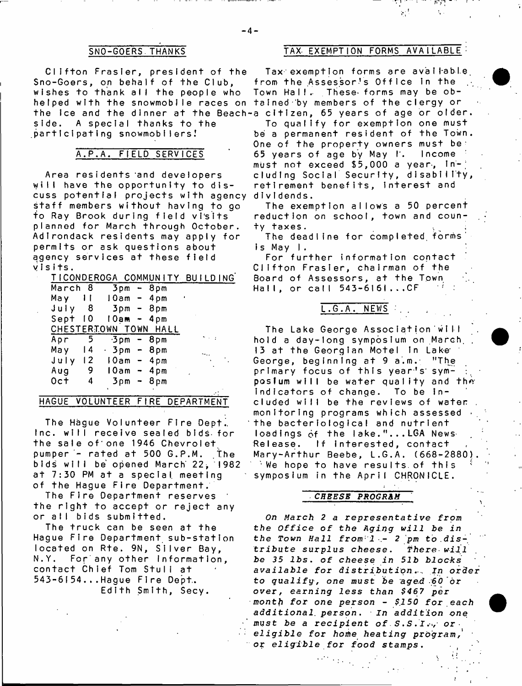**C lifto n Frasier, president of the** Sno-Goers, on behalf of the Club, wishes to thank all the people who helped with the snowmobile races on tained by members of the clergy or the ice and the dinner at the Beach-a citizen**,** 65 years of age or older side. A special thanks to the  $participating$  snowmobilers!

# **A.P.A. FIELD SERVICES**

Area residents and developers will have the opportunity to dis**cuss potential projects with agency** staff members without having to go **to Ray Brook during field vTsits planned for March through October.** Ad I rondack residents may apply for **permits or ask questions about** agency services at these field **y I s i t s .**

|         |                | TICONDEROGA COMMUNITY BUILDING |  |  |
|---------|----------------|--------------------------------|--|--|
| March 8 |                | 3pm - 8pm                      |  |  |
| May     | $\blacksquare$ | 10am - 4pm                     |  |  |
| July    |                | 8 3pm - 8pm                    |  |  |
| Sept 10 |                | $10am - 4pm$                   |  |  |
|         |                | CHESTERIOWN TOWN HALL          |  |  |
| Apr     | 5              | –3pm – 8pm                     |  |  |
| May     | 4              | – 3pm – 8pm                    |  |  |
|         |                | July 12 10am - 4pm             |  |  |
| Aug     | - 9            | 10am - 4pm                     |  |  |
| $0c+$   | 4              | 3pm - 8pm                      |  |  |
|         |                | ٠                              |  |  |

# **HAGUE VOLUNTEER FIRE DEPARTMENT**

The Hague Volunteer Fire Dept. **Inc. w ill receive sealed bids- for the sale of'o n e 1946 Chevrolet** pumper - rated at 500 G.P.M. The **bi ds w i l l be opened March" 22\* '1982** at 7:30 PM at a special meeting **of the Hague F ire Department.**

**The Fire Department reserves** the right to accept or reject any **or all bids submItted.**

The truck can be seen at the **Hague F ire Department s u b -s ta tio n** located on Rte. 9N, Silver Bay. **N.Y. For any other Inform ation,** contact Chief Tom Stull at **5 4 3 - 6 1 5 4 . . . Hague F ire Dept.. Edith Smith, Secy.**

## **SNO-GOERS.THANKS TAX- EXEMPTION FORMS AVAILABLE**

Tax exemption forms are available. from the Assessor's Office in the Town Hall. These forms may be ob-

To qualify for exemption one must be a permanent resident of the Town. One of the property owners must be: **65 y e a r s o f age by May T. I ncome** must not exceed \$5,000 a year, In**eluding Social Security, d is a b ility ,** retirement benefits, interest and **d I v I d e n d s .**

The exemption allows a 50 percent reduction on school, town and coun**t y t a x e s .**

**The deadline for completed, form s" i s May I .**

**For fu rth er information contact C lifton Frasier, chairman of the** Board of Assessors, at the Town Hall, or call 543-6161...CF

# **L . G . A . NEWS . .**

The Lake George Association will hold a day-long symposium on March, **13 at the Georgian Motel in Lake** George, beginning at 9 a.m. "The primary focus of this year's sym**posium** will be water quality and the indicators of change. To be included will be the reviews of water. **monitoring programs which assessed** the bacteriological and nutrient loadings of the lake."...LGA News **Release. If interested, contact Mary-Arthur Beebe, L.G.A. (668^2880).** We hope to have results of this symposium in the April CHRONICLE.

#### *CHEESE PROGRAM*

*On March 2 a representative from the* Office of *the Aging will be in* the Town Hall from 1 - 2 pm to distribute surplus *cheese* . *There- will be 35 l b s* . of *cheese in 51b blocks available for di s t r i b u t i q n*... In *order* to qualify, one must be aged 60 or *over, earning less than \$467 per month for one person - \$150 for each additional, p e r s o n* . *In addition one must be a recipient of . S.S.Isor eligible* for home heating program, or *eligible for food* stamps.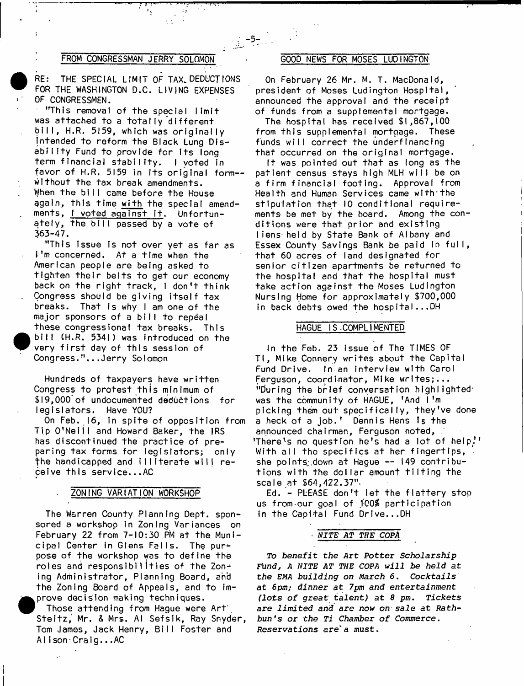## **FROM CONGRESSMAN JERRY SOLOMON 6000 NEWS FOR MOSES LUDINGTON**

 **RE: THE SPECIAL LIMIT OF TAX. DEDUCT IONS FOR THE WASHINGTON D.C. LIVING EXPENSES OF CONGRESSMEN.**

**• "This removal of the special limit** was attached to a totally different **bill, H.R. 5159, which was originally intended to reform the Black Lung DIs**ability Fund to provide for its long term financial stability. I voted in **favor of H.R. 5159 in Its original form w ithout the tax break amendments.** When the bill came before the House **again, this time with the special amend**ments, I voted against it. Unfortun**ately, the bill passed by a vote of 363-47.**

"This issue is not over yet as far as **I'm concerned. At a time when the American people are being asked to tighten th e ir belts to get our economy** back on the right track, I don't think **Congress should be giving itself tax breaks. That is why I am one of the** major sponsors of a bill to repeal **these congressional tax breaks. This**  $\bullet$   $\circ$  **bill CH.R. 5341) was introduced on the** very first day of this session of Congress."...Jerry Solomon

**Hundreds of taxpayers have w ritten Congress to protest this minimum of** \$19,000 of undocumented deductions for **le g is la t o r s . Have YOU?**

On Feb. 16, in spite of opposition from **Tip O' Nei l l and Howard Baker, the IRS** has discontinued the practice of preparing tax forms for legislators; only **the handicapped and illiterate will receive this service...AC**

#### **ZONING VARIATION WORKSHOP**

**The Warren County Planning Dept, sponsored a workshop in Zoning Variances on** February 22 from 7-10:30 PM at the Muni**cipal Center !n Glens Fel ls. The purpose of the workshop was to define the roles and responsibilities of the Zon-\*** ing Administrator, Planning Board, and **the Zoning Board of Appeals, and to im prove decision making techniques.**

**• Those attending from Hague were Art' S t e i t z , Mr. & Mrs. Al Sef sl k, Ray Snyder, Tom James, Jack Henry, Bill Foster and AI i s o n - C r a i g . . .AC**

**On February 26 Mr. M. T. MacDonald,** president of Moses Ludington Hospital, announced the approval and the receipt **of funds from a supplemental mortgage.**

**The hospital has received \$1,867,100 from this supplemental mortgage. These funds will correct the underfInaneing that occurred on the original mortgage.**

It was pointed out that as long as the patient census stays high MLH will be on **a f i rm f i na nc i a l footing. Approval from** Health and Human Services came with the stipulation that 10 conditional requirements be met by the board. Among the conditions were that prior and existing liens held by State Bank of Albany and **Essex County Savings Bank be paid in full, th a t 60 acres of land designated for senior citizen apartments be returned to** the hospital and that the hospital must take action against the Moses Ludington Nursing Home for approximately \$700,000 **in back debts owed the hospital...DH** 

### **HAGUE IS-COMPLIMENTED**

**In the Feb. 23 issue of The TIMES OF T I, Mike Connery writes about the Capital** Fund Drive. In an interview with Carol **Ferguson, coordinator, Mike writes;... "During the brief conversation highlighted1** was the community of HAGUE, 'And I'm picking them out specifically, they've done **a heck o f a job.' Dennis Hens 1**3 **the announced chairman, Ferguson noted, 'There's no question he's had a lot of help!' With all the specifics at her fingertips, •** she points<sub>:</sub> down at Hague -- 149 contributions with the dollar amount tilting the **scale at \$64,422.37".**

Ed. - PLEASE don't let the flattery stop **us from our goal of 100\$ participation in the Capital Fund Drive...DH** 

### ■ *NITE At THE COPA*

*To benefit the Art Potter Scholarship Fhnd, A NITE AT THE COPA will be held at the EMA building on March* 6. *Cocktails at 6pm; dinner at 7pm and entertainment (lots of great talent)* at 8 pm. Tickets are *limited and are now on-sale* at *Rath*bun's or the Ti Chamber of Commerce. *Reservations* are1a must.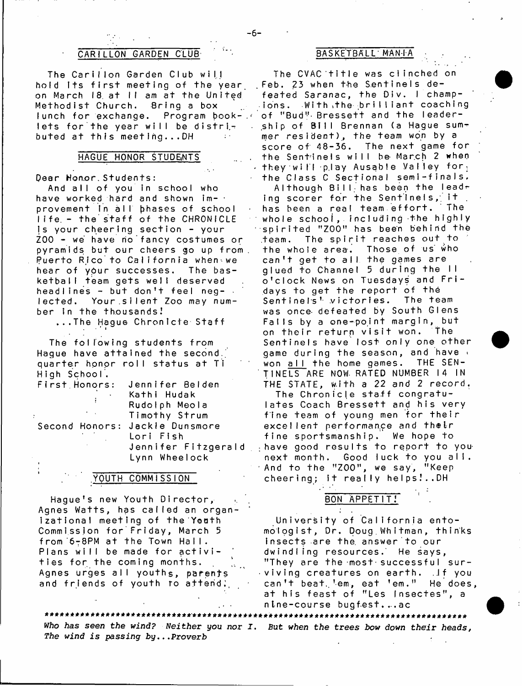# **CARILLON GARDEN CLUB basketball** MAN IA

The Carillon Garden Club will hold Its first meeting of the year, on March 18 at II am at the United Methodist Church. Bring a box **lunch for exchange. Program book-,** lets for the year will be distri**buted at this meeting...DH**

### **HAGUE HONOR STUDENTS**

#### **Dear Hon.or. Students :**

■ ' i

And all of you in school who **have worked hard and shown im-**  provement in all bhases of school life - the staff of the CHRONICLE **Is your cheering section - your**  $ZOO -$  we have no fancy costumes or pyramids but our cheers go up from. Puerto Rico to California when we **hear of yOur successes. The bask etb all team gets well deserved headlines - but don't feel neg- •** lected. Your silent Zoo may number in the thousands!

**.. . T h e Hague Chronicle S ta ff**

The following students from Haque have attained the second.<sup>'</sup> **quarter honor ro ll status at Ti High School.**

| First Honors:  | Jennifer Belden                |  |  |  |
|----------------|--------------------------------|--|--|--|
|                | Kathi Hudak                    |  |  |  |
|                | Rudolph Meola                  |  |  |  |
| $\sim$ $ \sim$ | Timothy Strum                  |  |  |  |
|                | Second Honors: Jackle Dunsmore |  |  |  |
|                | Lori Fish                      |  |  |  |
|                | Jennifer Fitzgerald            |  |  |  |
|                | Lynn Wheelock                  |  |  |  |
|                |                                |  |  |  |

# **YOUTH COMMISSION**

Hague's new Youth Director, Agnes Watts, has called an organ**izational meeting of the'Yoath Commission for Friday, March 5 from '** 6 7 8 **PM a t t h e Town Ha I I .** Plans will be made for activi**t i e s f o r the coming months. Agnes urges a lI youths, parents** and friends of youth to attend;

The CVAC title was clinched on . Feb. 23 when the Sentinels defeated Saranac, the Div. I champions. With the brilliant coaching of "Bud" Bressett and the leader**ship of Bill Brennan (a Hague sum**mer resident), the team won by a score of 48-36. The next game for the Sentinels will be March 2 when **- t h e y will p.lay Ausabie Valley fo r ;** the Class C Sectional semi-finals.

**Although Bill; has been t h e lead?** ing scorer for the Sentinels, it . has been a real team effort. The **whole school, including the highly spirited "ZOO" has been behind the .team. The s p i r i t reaches out to t h e w h o l e a r e a . T h o s e o f us who** can't get to all the games are **g l u e d t o C h a n n e l 5 d u r i n g t h e I I o ' c l o c k News on Tuesdays and F r i days to get the report of the** Sentinels<sup>t</sup> victories. The team was once defeated by South Glens Falls by a one-point margin, but **on t h e i r r e t u r n visit won. The Sentinels have lost only one other** game during the season, and have won all the home games. THE SEN-**T I NEL S ARE NOW- RATED NUMBER 14 IN** THE STATE, with a 22 and 2 record.

The Chronicle staff congratu**l a t e s Coach B r e s s e t t and his very** fine team of young men for their **excellent performan.ee and t h e i r** fine sportsmanship. We hope to **: have good results to report to younext month. Good luck to you all.** And to the "ZOO", we say, "Keep **cheering; it really helps.'..DH**

# **BON APPETIT!**

**University of California entom o l o g i s t , D r . D o u g . W h i t m a n , t h i n k s insects are the. answer to our** dwindling resources. He says, **"They are the-most-successfuI surviving c r e a t u r e s on e a r t h . ..If you** can't beat. em, eat 'em." He does, **at his feast of "Les fnsectes", a nine-course bugfest....ac**

*Who has seen the wind? Neither you nor I* . But *when the trees bow down their heads, The wind is passing* by...Proverb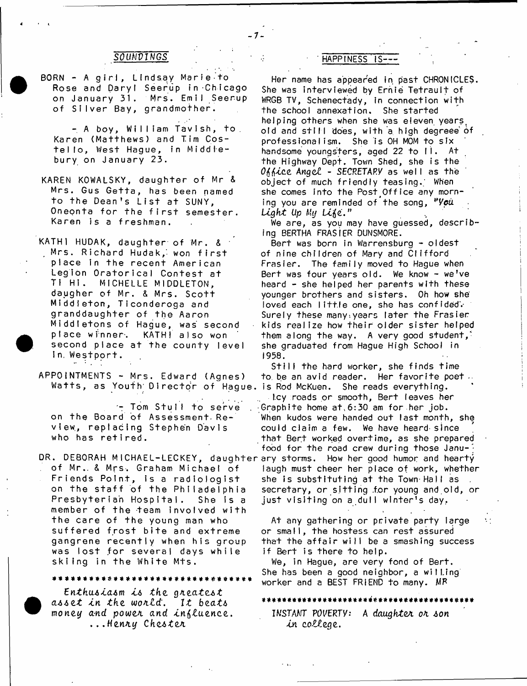- **BORN A girl, Lindsay Marie to Rose and Daryl Seerup in Chicago on January 31. Mrs. Emil Seerup** of Silver Bay, grandmother.
	- **A boy , William Tavish, to. Karen (Matthews) and Tim Cos**tello, West Hague, in Middlebury on January 23.
- KAREN KOWALSKY, daughter of Mr & **Mr s . Gus G e t t a , has been named** to the Dean's List at SUNY. **Oneonta for the first semester.** Karen is a freshman.
- **KATH1 HUDAK, da ughter of Mr. &** Mrs. Richard Hudak, won f**i**rs<sup>.</sup> **place in the r e c e n t Amer i can Legion Orator i c a** 1 **Contest at Ti H i . MICHE LLE MIDDLETON, daugher of Mr . & M r s . S c o t t M iddleton, Ti conderoga and granddaughter of the Aaron M i d d I e t o n s o f Hague, was second p l a c e w i nner', second place a t t h e c o u n t y I eve I n. W e s t p o r t . KATH** also won
- **APPOINTMENTS Mrs. Edward (Agnes)**

**- Tom StulI to serve** on the Board of Assessment Re**view,, r e p la c i n g Stephen Davis** who has retired.

**DR. DEBORAH MI CHAEL- LECKEY, d a u g h t e r ary storms. How her good humor and hearty o f Mr . . & M r s . Graham M i c h a e l o f** Friends Point, is a radiologist on the staff of the Philadelphia Presbyterian Hospital. She is a member of the team involved with **the care of the young man who** suffered frost bite and extreme gangrene recently when his group was lost for several days while skiing in the White Mts.

**\*\*\*\*\*\*\*\*\*\*\*\*\*\*\*\*\*\*\*\*\*\*\*\*\*\*\*\*\*\*\*\*\***

*Enthii6ia6m i6 the gA.eate.6i* asset in the world. It beats money and power and influence. .. *,HenA.y Che6teA.*

# **SOUNDINGS HAPPINESS IS---**

 $-7<sub>1</sub>$ 

**Her name has appeared in past CHRONICLES.** She was interviewed by Ernie Tetrault of **WRGB TV, Schenectady, in connection with** the school annexation. She started **helping others when she was eleven years, old and still does, with a high degreee of professionalism . She is OH MOM to six** handsome youngsters, aged 22 to II. At **the Highway Dept. Town Shed, she is the** *O^ice Angel - SECRETARY* **as we I I as the** object of much friendly teasing. When she comes into the Post Office any morn**ing you are reminded of the song,** *"Yeti Light Up* **A***Uj Li***jje.M**

We are, as you may have guessed, describ**ing BERTHA FRASIER DUNSMORE.**

Bert was born in Warrensburg - oldest **of nine children of Mary and Clifford Frasier. The family moved to Hague when Bert was four years ol d. We know - we've heard - she helped her parents with these** younger brothers and sisters. Oh how she loved each little one, she has confided: **Surely these many.years later the Frasier** kids realize how their older sister helped them along the way. A very good student,<sup>2</sup> **she graduated from Hague High School in 1958.**

**Watts, as Youth** 1 **D ire c to r of Hague. is Rod McKuen. She reads everything. Still the hard worker, she finds time t**o be an avid reader. Her favorite poet  $\cdot$ **I.cy** roads or smooth, Bert leaves her Graphite home at, 6:30 am for her job. When kudos were handed out last month, she could claim a few. We have heard since that Bert worked overtime, as she prepared food for the road crew during those Janu**laugh must cheer her place of work, whether** she is substituting at the Town Hall as secretary, or sitting for young and old, or **just v i s i t i n g on a dull w inter's day,**

> **At any gathering or private party large or small, the hostess can rest assured that the affair will be a smashing success if Bert is there to help.**

**We, in Hague, are very fond of Bert.** She has been a good neighbor, a willing **worker and a BEST FRIEND to many. MF**

#### \*\*\*\*\*\*\*\*\*\*\*\*\*\*\*\*\*\*\*\*\*\*\*\*\*\*\*\*\*\*\*\*\*\*\*\*

**IWSTAWT POVERTY:** *A daughter oA. 6on***in** *college.*